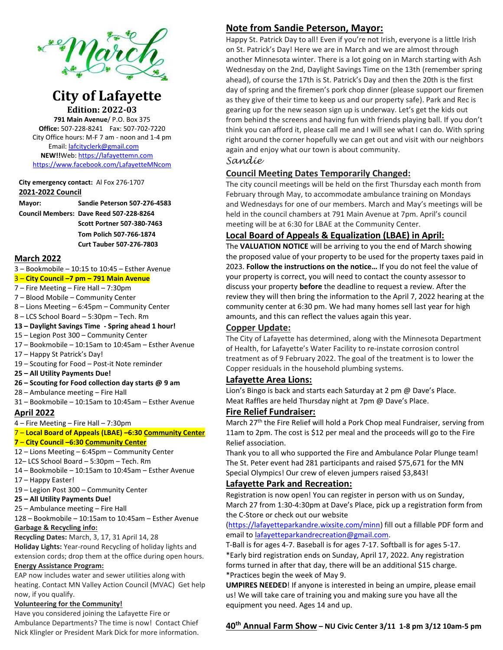

# **City of Lafayette Edition: 2022-03**

**791 Main Avenue**/ P.O. Box 375 **Office:** 507-228-8241 Fax: 507-702-7220 City Office hours: M-F 7 am - noon and 1-4 pm Email[: lafcityclerk@gmail.com](mailto:lafcityclerk@gmail.com)  **NEW!!**Web[: https://lafayettemn.com](https://lafayettemn.com/) <https://www.facebook.com/LafayetteMNcom>

#### **City emergency contact:** Al Fox 276-1707 **2021-2022 Council**

**Mayor: Sandie Peterson 507-276-4583**

**Council Members: Dave Reed 507-228-8264 Scott Portner 507-380-7463 Tom Polich 507-766-1874 Curt Tauber 507-276-7803**

#### **March 2022**

- 3 Bookmobile 10:15 to 10:45 Esther Avenue
- 3 **City Council –7 pm – 791 Main Avenue**
- 7 Fire Meeting Fire Hall 7:30pm
- 7 Blood Mobile Community Center
- 8 Lions Meeting 6:45pm Community Center

8 – LCS School Board – 5:30pm – Tech. Rm

- **13 – Daylight Savings Time - Spring ahead 1 hour!**
- 15 Legion Post 300 Community Center
- 17 Bookmobile 10:15am to 10:45am Esther Avenue
- 17 Happy St Patrick's Day!
- 19 Scouting for Food Post-it Note reminder
- **25 – All Utility Payments Due!**
- **26 – Scouting for Food collection day starts @ 9 am**
- 28 Ambulance meeting Fire Hall
- 31 Bookmobile 10:15am to 10:45am Esther Avenue

### **April 2022**

- 4 Fire Meeting Fire Hall 7:30pm
- 7 **Local Board of Appeals (LBAE) –6:30 Community Center**

### **7** – **City Council –6:30 Community Center**

- 12 Lions Meeting 6:45pm Community Center
- 12– LCS School Board 5:30pm Tech. Rm
- 14 Bookmobile 10:15am to 10:45am Esther Avenue
- 17 Happy Easter!
- 19 Legion Post 300 Community Center
- **25 – All Utility Payments Due!**
- 25 Ambulance meeting Fire Hall
- 128 Bookmobile 10:15am to 10:45am Esther Avenue **Garbage & Recycling info:**

**Recycling Dates:** March, 3, 17, 31 April 14, 28

**Holiday Lights:** Year-round Recycling of holiday lights and extension cords; drop them at the office during open hours. **Energy Assistance Program:** 

EAP now includes water and sewer utilities along with heating. Contact MN Valley Action Council (MVAC) Get help now, if you qualify.

#### **Volunteering for the Community!**

Have you considered joining the Lafayette Fire or Ambulance Departments? The time is now! Contact Chief Nick Klingler or President Mark Dick for more information.

# **Note from Sandie Peterson, Mayor:**

Happy St. Patrick Day to all! Even if you're not Irish, everyone is a little Irish on St. Patrick's Day! Here we are in March and we are almost through another Minnesota winter. There is a lot going on in March starting with Ash Wednesday on the 2nd, Daylight Savings Time on the 13th (remember spring ahead), of course the 17th is St. Patrick's Day and then the 20th is the first day of spring and the firemen's pork chop dinner (please support our firemen as they give of their time to keep us and our property safe). Park and Rec is gearing up for the new season sign up is underway. Let's get the kids out from behind the screens and having fun with friends playing ball. If you don't think you can afford it, please call me and I will see what I can do. With spring right around the corner hopefully we can get out and visit with our neighbors again and enjoy what our town is about community.

#### *Sandie*

### **Council Meeting Dates Temporarily Changed:**

The city council meetings will be held on the first Thursday each month from February through May, to accommodate ambulance training on Mondays and Wednesdays for one of our members. March and May's meetings will be held in the council chambers at 791 Main Avenue at 7pm. April's council meeting will be at 6:30 for LBAE at the Community Center.

## **Local Board of Appeals & Equalization (LBAE) in April:**

The **VALUATION NOTICE** will be arriving to you the end of March showing the proposed value of your property to be used for the property taxes paid in 2023. **Follow the instructions on the notice…** If you do not feel the value of your property is correct, you will need to contact the county assessor to discuss your property **before** the deadline to request a review. After the review they will then bring the information to the April 7, 2022 hearing at the community center at 6:30 pm. We had many homes sell last year for high amounts, and this can reflect the values again this year.

### **Copper Update:**

The City of Lafayette has determined, along with the Minnesota Department of Health, for Lafayette's Water Facility to re-instate corrosion control treatment as of 9 February 2022. The goal of the treatment is to lower the Copper residuals in the household plumbing systems.

### **Lafayette Area Lions:**

Lion's Bingo is back and starts each Saturday at 2 pm @ Dave's Place. Meat Raffles are held Thursday night at 7pm @ Dave's Place.

### **Fire Relief Fundraiser:**

March 27<sup>th</sup> the Fire Relief will hold a Pork Chop meal Fundraiser, serving from 11am to 2pm. The cost is \$12 per meal and the proceeds will go to the Fire Relief association.

Thank you to all who supported the Fire and Ambulance Polar Plunge team! The St. Peter event had 281 participants and raised \$75,671 for the MN Special Olympics! Our crew of eleven jumpers raised \$3,843!

### **Lafayette Park and Recreation:**

Registration is now open! You can register in person with us on Sunday, March 27 from 1:30-4:30pm at Dave's Place, pick up a registration form from the C-Store or check out our website

[\(https://lafayetteparkandre.wixsite.com/minn\)](https://lafayetteparkandre.wixsite.com/minn) fill out a fillable PDF form and email t[o lafayetteparkandrecreation@gmail.com.](mailto:lafayetteparkandrecreation@gmail.com)

T-Ball is for ages 4-7. Baseball is for ages 7-17. Softball is for ages 5-17. \*Early bird registration ends on Sunday, April 17, 2022. Any registration forms turned in after that day, there will be an additional \$15 charge. \*Practices begin the week of May 9.

**UMPIRES NEEDED**! If anyone is interested in being an umpire, please email us! We will take care of training you and making sure you have all the equipment you need. Ages 14 and up.

### **40th Annual Farm Show – NU Civic Center 3/11 1-8 pm 3/12 10am-5 pm**